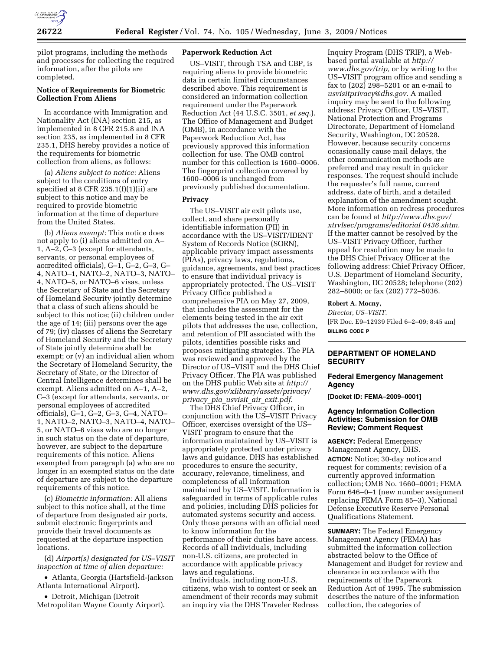

pilot programs, including the methods and processes for collecting the required information, after the pilots are completed.

## **Notice of Requirements for Biometric Collection From Aliens**

In accordance with Immigration and Nationality Act (INA) section 215, as implemented in 8 CFR 215.8 and INA section 235, as implemented in 8 CFR 235.1, DHS hereby provides a notice of the requirements for biometric collection from aliens, as follows:

(a) *Aliens subject to notice:* Aliens subject to the conditions of entry specified at 8 CFR 235.1(f)(1)(ii) are subject to this notice and may be required to provide biometric information at the time of departure from the United States.

(b) *Aliens exempt:* This notice does not apply to (i) aliens admitted on A– 1, A–2, C–3 (except for attendants, servants, or personal employees of accredited officials), G–1, G–2, G–3, G– 4, NATO–1, NATO–2, NATO–3, NATO– 4, NATO–5, or NATO–6 visas, unless the Secretary of State and the Secretary of Homeland Security jointly determine that a class of such aliens should be subject to this notice; (ii) children under the age of 14; (iii) persons over the age of 79; (iv) classes of aliens the Secretary of Homeland Security and the Secretary of State jointly determine shall be exempt; or (v) an individual alien whom the Secretary of Homeland Security, the Secretary of State, or the Director of Central Intelligence determines shall be exempt. Aliens admitted on A–1, A–2, C–3 (except for attendants, servants, or personal employees of accredited officials), G–1, G–2, G–3, G–4, NATO– 1, NATO–2, NATO–3, NATO–4, NATO– 5, or NATO–6 visas who are no longer in such status on the date of departure, however, are subject to the departure requirements of this notice. Aliens exempted from paragraph (a) who are no longer in an exempted status on the date of departure are subject to the departure requirements of this notice.

(c) *Biometric information:* All aliens subject to this notice shall, at the time of departure from designated air ports, submit electronic fingerprints and provide their travel documents as requested at the departure inspection locations.

(d) *Airport(s) designated for US–VISIT inspection at time of alien departure:* 

• Atlanta, Georgia (Hartsfield-Jackson Atlanta International Airport).

• Detroit, Michigan (Detroit Metropolitan Wayne County Airport).

## **Paperwork Reduction Act**

US–VISIT, through TSA and CBP, is requiring aliens to provide biometric data in certain limited circumstances described above. This requirement is considered an information collection requirement under the Paperwork Reduction Act (44 U.S.C. 3501, *et seq.*). The Office of Management and Budget (OMB), in accordance with the Paperwork Reduction Act, has previously approved this information collection for use. The OMB control number for this collection is 1600–0006. The fingerprint collection covered by 1600–0006 is unchanged from previously published documentation.

### **Privacy**

The US–VISIT air exit pilots use, collect, and share personally identifiable information (PII) in accordance with the US–VISIT/IDENT System of Records Notice (SORN), applicable privacy impact assessments (PIAs), privacy laws, regulations, guidance, agreements, and best practices to ensure that individual privacy is appropriately protected. The US–VISIT Privacy Office published a comprehensive PIA on May 27, 2009, that includes the assessment for the elements being tested in the air exit pilots that addresses the use, collection, and retention of PII associated with the pilots, identifies possible risks and proposes mitigating strategies. The PIA was reviewed and approved by the Director of US–VISIT and the DHS Chief Privacy Officer. The PIA was published on the DHS public Web site at *http:// www.dhs.gov/xlibrary/assets/privacy/ privacy*\_*pia*\_*usvisit*\_*air*\_*exit.pdf.* 

The DHS Chief Privacy Officer, in conjunction with the US–VISIT Privacy Officer, exercises oversight of the US– VISIT program to ensure that the information maintained by US–VISIT is appropriately protected under privacy laws and guidance. DHS has established procedures to ensure the security, accuracy, relevance, timeliness, and completeness of all information maintained by US–VISIT. Information is safeguarded in terms of applicable rules and policies, including DHS policies for automated systems security and access. Only those persons with an official need to know information for the performance of their duties have access. Records of all individuals, including non-U.S. citizens, are protected in accordance with applicable privacy laws and regulations.

Individuals, including non-U.S. citizens, who wish to contest or seek an amendment of their records may submit an inquiry via the DHS Traveler Redress Inquiry Program (DHS TRIP), a Webbased portal available at *http:// www.dhs.gov/trip,* or by writing to the US–VISIT program office and sending a fax to  $(202)$  298-5201 or an e-mail to *usvisitprivacy@dhs.gov.* A mailed inquiry may be sent to the following address: Privacy Officer, US–VISIT, National Protection and Programs Directorate, Department of Homeland Security, Washington, DC 20528. However, because security concerns occasionally cause mail delays, the other communication methods are preferred and may result in quicker responses. The request should include the requester's full name, current address, date of birth, and a detailed explanation of the amendment sought. More information on redress procedures can be found at *http://www.dhs.gov/ xtrvlsec/programs/editorial 0436.shtm.*  If the matter cannot be resolved by the US–VISIT Privacy Officer, further appeal for resolution may be made to the DHS Chief Privacy Officer at the following address: Chief Privacy Officer, U.S. Department of Homeland Security, Washington, DC 20528; telephone (202) 282–8000; or fax (202) 772–5036.

#### **Robert A. Mocny,**

*Director, US–VISIT.*  [FR Doc. E9–12939 Filed 6–2–09; 8:45 am] **BILLING CODE P** 

# **DEPARTMENT OF HOMELAND SECURITY**

#### **Federal Emergency Management Agency**

**[Docket ID: FEMA–2009–0001]** 

### **Agency Information Collection Activities: Submission for OMB Review; Comment Request**

**AGENCY:** Federal Emergency Management Agency, DHS. **ACTION:** Notice; 30-day notice and request for comments; revision of a currently approved information collection; OMB No. 1660–0001; FEMA Form 646–0–1 (new number assignment replacing FEMA Form 85–3), National Defense Executive Reserve Personal Qualifications Statement.

**SUMMARY:** The Federal Emergency Management Agency (FEMA) has submitted the information collection abstracted below to the Office of Management and Budget for review and clearance in accordance with the requirements of the Paperwork Reduction Act of 1995. The submission describes the nature of the information collection, the categories of